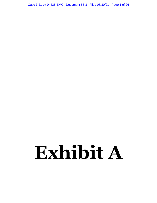# **Exhibit A**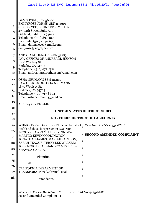|                                | Case 3:21-cv-04435-EMC  Document 53-3  Filed 08/30/21  Page 2 of 26                      |  |  |                                 |  |  |
|--------------------------------|------------------------------------------------------------------------------------------|--|--|---------------------------------|--|--|
|                                |                                                                                          |  |  |                                 |  |  |
| $\mathbf{1}$<br>$\overline{2}$ | DAN SIEGEL, SBN 56400<br>EMILYROSE JOHNS, SBN 294319<br>SIEGEL, YEE, BRUNNER & MEHTA     |  |  |                                 |  |  |
| 3                              | 475 14th Street, Suite 500<br>Oakland, California 94612                                  |  |  |                                 |  |  |
| $\overline{4}$                 | Telephone: (510) 839-1200                                                                |  |  |                                 |  |  |
| 5                              | Facsimile: (510) 444-6698<br>Email: danmsiegel@gmail.com;                                |  |  |                                 |  |  |
| 6                              | emilyrose@siegelyee.com                                                                  |  |  |                                 |  |  |
| 7<br>8                         | ANDREA M. HENSON, SBN 331898<br>LAW OFFICES OF ANDREA M. HENSON                          |  |  |                                 |  |  |
|                                | 1840 Woolsey St.<br>Berkeley, CA 94703                                                   |  |  |                                 |  |  |
| 9<br>10                        | Telephone: (510) 977-2511<br>Email: andreamargarethenson@gmail.com                       |  |  |                                 |  |  |
| 11                             | OSHA NEUMANN SBN 127215                                                                  |  |  |                                 |  |  |
| 12                             | LAW OFFICES OF OSHA NEUMANN                                                              |  |  |                                 |  |  |
| 13                             | 1840 Woolsey St.<br>Berkeley, CA 94703                                                   |  |  |                                 |  |  |
| 14                             | Telephone: (510) 717-8604<br>Email: oshaneumann@gmail.com                                |  |  |                                 |  |  |
| 15                             | <b>Attorneys for Plaintiffs</b>                                                          |  |  |                                 |  |  |
| 16                             | UNITED STATES DISTRICT COURT                                                             |  |  |                                 |  |  |
| 17<br>18                       | <b>NORTHERN DISTRICT OF CALIFORNIA</b>                                                   |  |  |                                 |  |  |
| 19                             | WHERE DO WE GO BERKELEY, on behalf of ) Case No.: 21-CV-04435-EMC                        |  |  |                                 |  |  |
| 20                             | itself and those it represents; RONNIE<br>BROOKS; JASON MILLER; KINNDRA                  |  |  |                                 |  |  |
| 21                             | MARTIN; KEVIN CODDINGTON;<br>JONATHAN JAMES; MARIAH JACKSON;                             |  |  | <b>SECOND AMENDED COMPLAINT</b> |  |  |
| 22                             | SARAH TEAGUE; TERRY LEE WALKER;                                                          |  |  |                                 |  |  |
| 23                             | JOSE MORFIN; ALEJANDRO MEYERS; and<br>SHAWNA GARCIA,                                     |  |  |                                 |  |  |
| 24                             | Plaintiffs,                                                                              |  |  |                                 |  |  |
| 25                             | VS.                                                                                      |  |  |                                 |  |  |
| 26<br>27                       | <b>CALIFORNIA DEPARMENT OF</b><br>TRANSPORATION (Caltrans), et al.                       |  |  |                                 |  |  |
| 28                             | Defendants.                                                                              |  |  |                                 |  |  |
|                                |                                                                                          |  |  |                                 |  |  |
|                                | Where Do We Go Berkeley v. Caltrans, No. 21-CV-04435-EMC<br>Second Amended Complaint - 1 |  |  |                                 |  |  |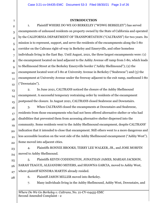#### **INTRODUCTION**

1. Plaintiff WHERE DO WE GO BERKELEY ("WDWG BERKELEY") has served encampments of unhoused residents on property owned by the State of California and operated by the CALIFORNIA DEPARTMENT OF TRANSPORTATION ("CALTRANS") for two years. Its mission is to represent, support, and serve the residents of the encampments along the I-80 corridor on the Caltrans right-of-way in Berkeley and Emeryville, and other homeless individuals living in the East Bay. Until August, 2021, the three largest encampments were: (1) the encampment located on land adjacent to the Ashby Avenue off ramp from I-80, which leads to Shellmound Street at the Berkeley Emeryville border ("Ashby Shellmound"); (2) the encampment located west of I-80 at University Avenue in Berkeley ("Seabreeze") and (3) the encampment at University Avenue under the freeway adjacent to the exit ramp, eastbound I-80 ("Downstairs").

2. In June 2021, CALTRANS noticed the closure of the Ashby Shellmound encampment. A successful temporary restraining order by residents of the encampment postponed the closure. In August 2021, CALTRANS closed Seabreeze and Downstairs.

3. When CALTRANS closed the encampments at Downstairs and Seabreeze, residents from those encampments who had not been offered alternative shelter or who had disabilities that prevented them from accessing alternative shelter dispersed into the community. Some residents went to the Ashby Shellmound encampment, despite CALTRANS' indication that it intended to close that encampment. Still others went to a more dangerous and less accessible location on the west side of the Ashby Shellmound encampment ("Ashby West"). Some moved into adjacent cities.

4. Plaintiffs RONNIE BROOKS, TERRY LEE WALKER, JR., and JOSE MORFIN moved to Ashby Shellmound.

5. Plaintiffs KEVIN CODDINGTON, JONATHAN JAMES, MARIAH JACKSON, SARAH TEAGUE, ALEJANDRO MEYERS, and SHAWNA GARCIA, moved to Ashby West, where plaintiff KINNDRA MARTIN already resided.

6. Plaintiff JASON MILLER moved into Berkeley.

7. Many individuals living in the Ashby Shellmound, Ashby West, Downstairs, and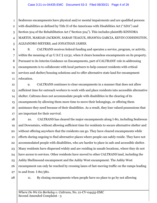Seabreeze encampments have physical and/or mental impairments and are qualified persons with disabilities as defined by Title II of the Americans with Disabilities Act ("ADA") and Section 504 of the Rehabilitation Act ("Section 504"). This includes plaintiffs KINNDRA MARTIN, MARIAH JACKSON, SARAH TEAGUE, SHAWNA GARCIA, KEVIN CODDINGTON, ALEJANDRO MEYERS, and JONATHAN JAMES.

8. CALTRANS receives federal funding and operates a service, program, or activity, within the meaning of 42 U.S.C § 12132, when it clears homeless encampments on its property. Pursuant to its Interim Guidance on Encampments, part of CALTRANS' role in addressing encampments is to collaborate with local partners to help connect residents with critical services and shelter/housing solutions and to offer alternative state land for encampment relocation.

9. CALTRANS continues to clear encampments in a manner that does not allow sufficient time for outreach workers to work with and place residents into accessible alternative shelter. Caltrans does not accommodate people with disabilities in the clearing of its encampments by allowing them more time to move their belongings, or offering them assistance they need because of their disabilities. As a result, they lose valued possessions that are important for their survival.

10. CALTRANS has cleared the major encampments along I-80, including Seabreeze and Downstairs, without allowing sufficient time for residents to secure alternative shelter and without offering anywhere that the residents can go. They have cleared encampments while efforts during ongoing to find alternative places where people can safely reside. They have not accommodated people with disabilities, who are harder to place in safe and accessible shelter. Many residents have dispersed widely and are residing in unsafe locations, where they do not have access to services. Other residents have moved to other CALTRANS land, including the Ashby Shellmound encampment and the Ashby West encampment. The Ashby West encampment can only be reached by crossing lanes of fast-moving traffic on the ramps leading to and from  $I-80/580$ .

11. By closing encampments when people have no place to go by not allowing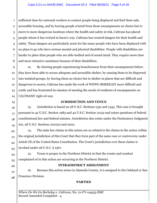1 sufficient time for outreach workers to contact people being displaced and find them safe, accessible housing, and by leaving people evicted from those encampments no choice but to move to more dangerous locations where the health and safety at risk, Caltrans has placed people whom it has evicted in harm's way. Caltrans has created dangers for their health and safety. These dangers are particularly acute for the many people who have been displaced with no place to go who have serious mental and physical disabilities. People with disabilities are harder to place than people who are able-bodied and of sound mind. They require more time and more intensive assistance because of their disabilities.

12. By clearing people experiencing homelessness from their encampments before they have been able to access adequate and accessible shelter, by causing them to be dispersed into isolated groups, by leaving them no choice but to shelter in places that are difficult and dangerous to access, Caltrans has made the work of WDWG BERKELEY more difficult and costly and has frustrated its mission of meeting the needs of residents of encampments on CALTRANS' right-of-way.

### **JURISDICTION AND VENUE**

13. Jurisdiction is based on 28 U.S.C. Sections 1331 and 1343. This case is brought pursuant to 42 U.S.C. Section 1983 and 42 U.S.C. Section 12132 and raises questions of federal constitutional law and federal statutes. Jurisdiction also exists under the Declaratory Judgment Act, 28 U.S.C. Sections 2201(a) and 2202.

14. The state law claims in this action are so related to the claims in the action within the original jurisdiction of this Court that they form part of the same case or controversy under Article III of the United States Constitution. The Court's jurisdiction over these claims is invoked under 28 U.S.C. § 1367.

15. Venue is proper in the Northern District in that the events and conduct complained of in this action are occurring in the Northern District.

# **INTRADISTRICT ASSIGNMENT**

16. Because this action arises in Alameda County, it is assigned to the Oakland or San Francisco Division.

# **PARTIES**

*Where Do We Go Berkeley v. Caltrans*, No. 21-CV-04435-EMC Second Amended Complaint - 4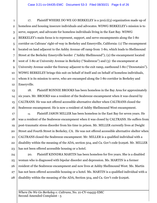17. Plaintiff WHERE DO WE GO BERKELEY is a  $501(c)(3)$  organization made up of homeless and housing insecure individuals and advocates. WDWG BERKELEY's mission is to serve, support, and advocate for homeless individuals living in the East Bay. WDWG BERKELEY's main focus is to represent, support, and serve encampments along the I-80 corridor on Caltrans' right-of-way in Berkeley and Emeryville, California: (1) The encampment located on land adjacent to the Ashby Avenue off ramp from I-80, which leads to Shellmound Street at the Berkeley Emeryville border ("Ashby Shellmound"); (2) the encampment located west of I-80 at University Avenue in Berkeley ("Seabreeze") and (3) the encampment at University Avenue under the freeway adjacent to the exit ramp, eastbound I-80 ("Downstairs"). WDWG BERKELEY brings this suit on behalf of itself and on behalf of homeless individuals, whom it is its mission to serve, who are encamped along the I-80 corridor in Berkeley and Emeryville.

18. Plaintiff RONNIE BROOKS has been homeless in the Bay Area for approximately six years. Mr. BROOKS was a resident of the Seabreeze encampment when it was cleared by CALTRANS. He was not offered accessible alternative shelter when CALTRANS closed the Seabreeze encampment. He is now a resident of Ashby Shellmound West encampment.

19. Plaintiff JASON MILLER has been homeless in the East Bay for seven years. He was a resident of the Seabreeze encampment when it was closed by CALTRANS. He suffers from post-traumatic stress disorder from his time in prison. Mr. MILLER currently lives at Dwight Street and Fourth Street in Berkeley, CA. He was not offered accessible alternative shelter when CALTRANS closed the Seabreeze encampment. Mr. MILLER is a qualified individual with a disability within the meaning of the ADA, section 504, and Ca. Gov't code §12926. Mr. MILLER has not been offered accessible housing or a hotel.

20. Plaintiff KINNDRA MARTIN has been homeless for five years. She is a disabled woman who is diagnosed with bipolar disorder and depression. Ms. MARTIN is a former resident of the Seabreeze encampment and now lives at Ashby Shellmound West. Ms. Martin has not been offered accessible housing or a hotel. Ms. MARTIN is a qualified individual with a disability within the meaning of the ADA, Section 504, and Ca. Gov't code §12926.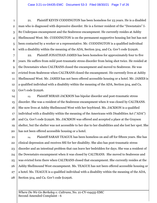21. Plaintiff KEVIN CODDINGTON has been homeless for 23 years. He is a disabled man who is diagnosed with depressive disorder. He is a former resident of the "Downstairs" I-80 Underpass encampment and the Seabreeze encampment. He currently resides at Ashby Shellmound West. Mr. CODDINGTON is on the permanent supportive housing list but has not been contacted by a worker or a representative. Mr. CODDINGTON is a qualified individual with a disability within the meaning of the ADA, Section 504, and Ca. Gov't code §12926.

22. Plaintiff JONATHAN JAMES has been homeless for approximately four to five years. He suffers from mild post-traumatic stress disorder from being shot twice. He resided at the Downstairs when CALTRANS closed the encampment and moved to Seabreeze. He was evicted from Seabreeze when CALTRANS closed the encampment. He currently lives at Ashby Shellmound West. Mr. JAMES has not been offered accessible housing or a hotel. Mr. JAMES is a qualified individual with a disability within the meaning of the ADA, Section 504, and Ca. Gov't code §12926.

23. Plaintiff MIRAH JACKSON has bipolar disorder and post-traumatic stress disorder. She was a resident of the Seabreeze encampment when it was closed by CALTRANS. She now lives at Ashby Shellmound West with her boyfriend. Ms. JACKSON is a qualified individual with a disability within the meaning of the Americans with Disabilities Act ("ADA") and Ca. Gov't code §12926. Ms. JACKSON was offered and accepted a place at the Grayson shelter, but the shelter was not accessible to her due to her disabilities and she lost her spot. She has not been offered accessible housing or a hotel.

24. Plaintiff SARAH TEAGUE has been homeless on and off for fifteen years. She has clinical depression and receives SSI for her disability. She also has post-traumatic stress disorder and an intestinal problem that can leave her bedridden for days. She was a resident of the Downstairs encampment when it was closed by CALTRANS. She moved to Seabreeze and was evicted form there when CALTRANS closed that encampment. She currently resides at the Ashby Shellmound West encampment. Ms. TEAGUE has not been offered accessible housing or a hotel. Ms. TEAGUE is a qualified individual with a disability within the meaning of the ADA, Section 504, and Ca. Gov't code §12926.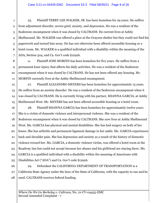25. Plaintiff TERRY LEE WALKER, JR. has been homeless for 29 years. He suffers from adjustment disorder, severe grief, anxiety, and depression. He was a resident of the Seabreeze encampment when it was closed by CALTRANS. He current lives at Ashby Shellmound. Mr. WALKER was offered a place at the Grayson shelter but they could not find his paperwork and turned him away. He has not otherwise been offered accessible housing or a hotel room. Mr. WALKER is a qualified individual with a disability within the meaning of the ADA, Section 504, and Ca. Gov't code §12926.

26. Plaintiff JOSE MORFIN has been homeless for five years. He suffers from a permanent knee injury that affects his daily activities. He was a resident of the Seabreeze encampment when it was closed by CALTRANS. He has not been offered any housing. Mr. MORFIN currently lives at the Ashby Shellmound encampment.

27. Plaintiff ALEJANDRO MEYERS has been homeless for approximately 15 years. He suffers from an anxiety disorder. He was a resident of the Seabreeze encampment when it was closed by CALTRANS. He is currently living with his partner, SHAWNA GARCIA, at Ashby Shellmound West. Mr. MEYERS has not been offered accessible housing or a hotel room.

28. Plaintiff SHAWNA GARCIA has been homeless for approximately twelve years. She is a victim of domestic violence and interpersonal violence. She was a resident of the Seabreeze encampment when it was closed by CALTRANS. She now lives at Ashby Shellmound West. Ms. GARCIA has physical and mental disabilities. She has had surgery on both of her knees. She has arthritis and permanent ligament damage in her ankle. Ms. GARCIA experiences back and shoulder pain. She has depression and anxiety as a result of the history of domestic violence toward her. Ms. GARCIA, a domestic violence victim, was offered a hotel room at the Roadway Inn but could not accept because her abuser and his girlfriend are staying there. Ms. GARCIA is a qualified individual with a disability within the meaning of Americans with Disabilities Act ("ADA") and Ca. Gov't code §12926.

29. Defendant the CALIFORNIA DEPARTMENT OF TRANSPORTATION is a California State Agency under the laws of the State of California, with the capacity to sue and be sued. CALTRANS receives federal funding.

*Where Do We Go Berkeley v. Caltrans*, No. 21-CV-04435-EMC Second Amended Complaint - 7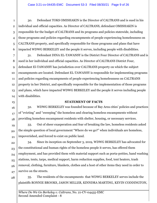30. Defendant TOKS OMISHAKIN is the Director of CALTRANS and is sued in his individual and official capacities. As Director of CALTRANS, defendant OMISHAKIN is responsible for the budget of CALTRANS and its programs and policies statewide, including those programs and policies regarding encampments of people experiencing homelessness on CALTRANS property, and specifically responsible for those programs and plans that have impacted WDWG BERKELEY and the people it serves, including people with disabilities.

31. Defendant DINA EL-TAWANSY is the District Four Director of CALTRANS and is sued in her individual and official capacities. As Director of CALTRANS District Four, defendant El-TAWANSY has jurisdiction over CALTRANS property on which the subject encampments are located. Defendant EL-TAWANSY is responsible for implementing programs and policies regarding encampments of people experiencing homelessness on CALTRANS property in her District, and specifically responsible for the implementation of those programs and plans, which have impacted WDWG BERKELEY and the people it serves including people with disabilities.

## **STATEMENT OF FACTS**

32. WDWG BERKELEY was founded because of Bay Area cities' policies and practices of "evicting" and "sweeping" the homeless and clearing homeless encampments without providing homeless encampment residents with shelter, housing, or necessary services.

33. Out of sheer exasperation and fear of breaking the law, homeless residents asked the simple question of local government "Where do we go?" when individuals are homeless, impoverished, and forced to exist on public land.

34. Since its inception on September 3, 2019, WDWG BERKELEY has advocated for the constitutional and human rights of the homeless people it serves, has offered them employment, and has provided them with material support such as porta-potties, hand washing stations, tents, tarps, medical support, harm reduction supplies, food, tent heaters, trash removal, clothing, furniture, blankets, clothes and a host of other items they need in order to survive on the streets.

35. The residents of the encampments that WDWG BERKELEY serves include the plaintiffs RONNIE BROOKS, JASON MILLER, KINNDRA MARTING, KEVIN CODDINGTON,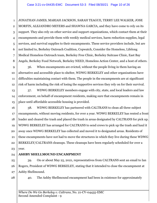1 JONATHAN JAMES, MARIAH JACKSON, SARAH TEAGUE, TERRY LEE WALKER, JOSE MORFIN, ALEJANDRO MEYERS and SHAWNA GARCIA, and they have come to rely on its support. They also rely on other service and support organizations, which contact them at their encampments and provide them with weekly medical services, harm reduction supplies, legal services, and survival supplies to their encampments. These service providers include, but are not limited to, Berkeley Outreach Coalition, Copwatch, Consider the Homeless, Lifelong Medical Homeless Outreach team, Berkeley Free Clinic, Berkeley Suitcase Clinic, East Bay Angels, Berkeley Food Network, Berkeley NEED, Homeless Action Center, and a host of others.

36. When encampments are evicted, without the people living in them having an alternative and accessible place to shelter, WDWG BERKELEY and other organizations have difficulties maintaining contact with them. The people in the encampments are at significant risk of harm including the risk of losing the supportive services they rely on for their survival.

37. WDWG BERKELEY members engage with city, state, and local leaders and law enforcement, on behalf of encampment residents, making sure that encampments remain in place until affordable accessible housing is provided.

38. WDWG BERKELEY has partnered with CALTRANS to clean all three subject encampments, without moving residents, for over a year. WDWG BERKELEY has rented a front loader and cleared the trash and placed the trash in areas designated by CALTRANS for pick up. WDWG BERKELEY has arranged for CALTRANS to send crews to pick up the trash and haul it away once WDWG BERKELEY has collected and moved it to designated areas. Residents of these encampments have not had to move the structures in which they live during these WDWG BERKELEY/CALTRANS cleanups. These cleanups have been regularly scheduled for over a year.

# **ASHBY SHELLMOUND ENCAMPMENT**

39. On or about May 25, 2021, representatives from CALTRANS sent an email to Ian Rogers, President of WDWG BERKELEY, stating that it intended to close the encampment at Ashby Shellmound.

40. The Ashby Shellmound encampment had been in existence for approximately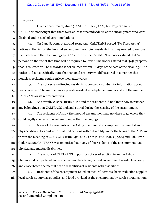1 three years.

> 41. From approximately June 5, 2021 to June 8, 2021, Mr. Rogers emailed CALTRANS notifying it that there were at least nine individuals at the encampment who were disabled and in need of accommodations.

42. On June 8, 2021, at around 10:15 a.m., CALTRANS posted "No Trespassing" notices at the Ashby Shellmound encampment notifying residents that they needed to remove themselves and their belongings by 8:00 a.m. on June 10, 2021. The notices stated that "all persons on the site at that time will be required to leave." The notices stated that "[a]ll property that is collected will be discarded if not claimed within 60 days of the date of the cleaning." The notices did not specifically state that personal property would be stored in a manner that homeless residents could retrieve them afterwards.

43. The notices also directed residents to contact a number for information about items collected. The number was a private residential telephone number and not the number to CALTRANS or its representatives.

44. As a result, WDWG BERKELEY and the residents did not know how to retrieve any belongings that CALTRANS took and stored during the clearing of the encampment.

45. The residents of Ashby Shellmound encampment had nowhere to go where they could legally shelter and nowhere to move their belongings.

46. Many of the residents of the Ashby Shellmound encampment had mental and physical disabilities and were qualified persons with a disability under the terms of the ADA and within the meaning of 42 U.S.C. § 12102; 42 U.S.C. § 12131, 28 C.F.R. § 35.104 and Cal. Gov't Code §12926. CALTRANS was on notice that many of the residents of the encampment had physical and mental disabilities.

47. The actions of CALTRANS in posting notices of eviction from the Ashby Shellmound campsite when people had no place to go, caused encampment residents anxiety and exacerbated the mental health disabilities of residents with disabilities.

48. Residents of the encampment relied on medical services, harm reduction supplies, legal services, survival supplies, and food provided at the encampment by service organizations

*Where Do We Go Berkeley v. Caltrans*, No. 21-CV-04435-EMC Second Amended Complaint - 10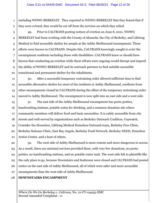including WDWG BERKELEY. They reported to WDWG BERKELEY that they feared that if they were evicted, they would be cut off from the services on which they relied.

49. Prior to CALTRANS posting notices of eviction on June 8, 2021, WDWG BERKELEY had been working with the County of Alameda, the City of Berkeley, and Lifelong Medical to find accessible shelter for people at the Ashby Shellmound encampment. These efforts were known to CALTRANS. Despite this, CALTRANS knowingly sought to evict the encampment residents including those with disabilities. CALTRANS knew or should have known that conducting an eviction while these efforts were ongoing would disrupt and imperil the ability of WDWG BERKELEY and its outreach partners to find suitable accessible transitional and permanent shelter for the inhabitants.

50. After a successful temporary restraining order allowed sufficient time to find accessible alternative shelter for most of the residents at Ashby Shellmound, residents from other encampments closed by CALTRANS during the effect of the temporary restraining order moved to Ashby Shellmound. The encampment is now split into an east side and a west side.

51. The east side of the Ashby Shellmound encampment has porta-potties, handwashing stations, potable water for drinking, and a common donation site where community members will deliver food and basic necessities. It is safely accessible from city streets and well-served by organizations such as Berkeley Outreach Coalition, Copwatch, Consider the Homeless, Lifelong Medical Homeless Outreach team, Berkeley Free Clinic, Berkeley Suitcase Clinic, East Bay Angels, Berkeley Food Network, Berkeley NEED, Homeless Action Center, and a host of others.

52. The west side of Ashby Shellmound is more remote and more dangerous to access. As a result, there are minimal services provided there, with very few donations, no portapotties, no handwashing stations, and no potable water tank. The west side felt to plaintiffs like the only place to go, because Downstairs and Seabreeze were closed and CALTRANS had posted notice on the east side of Ashby Shellmound, all of which were safer and more accessible encampments than the west side of Ashby Shellmound.

# **DOWNSTAIRS ENCAMPMENT**

*Where Do We Go Berkeley v. Caltrans*, No. 21-CV-04435-EMC Second Amended Complaint - 11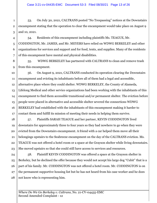53. On July 30, 2021, CALTRANS posted "No Trespassing" notices at the Downstairs encampment stating that the operation to clear the encampment would take place on August 9 and 10, 2021.

54. Residents of this encampment including plaintiffs Ms. TEAGUE, Mr. CODDINGTON, Mr. JAMES, and Mr. MEYERS have relied on WDWG BERKELEY and other organizations for services and support and for food, tents, and supplies. Many of the residents of this encampment have mental and physical disabilities.

55. WDWG BERKELEY has partnered with CALTRANS to clean and remove trash from this encampment.

56. On August 9, 2021, CALTRANS conducted its operation clearing the Downstairs encampment and evicting its inhabitants before all of them had a legal and accessible, alternative place where they could shelter. WDWG BERKELEY, the County of Alameda, Lifelong Medical and other service organizations had been working with the inhabitants of this encampment to find them accessible transitional and/or permanent shelter. The eviction before people were placed in alternative and accessible shelter severed the connections WDWG BERKELEY had established with the inhabitants of this encampment making it harder to contact them and fulfill its mission of meeting their needs in helping them survive.

57. Plaintiffs SARAH TEAGUE and her partner, KEVIN CODDINGTON lived downstairs for approximately three to four years so they had nowhere to go when they were evicted from the Downstairs encampment. A friend with a car helped them move all their belongings upstairs to the Seabreeze encampment on the day of the CALTRANS eviction. Ms. TEAGUE was not offered a hotel room or a space at the Grayson shelter while living downstairs. She moved upstairs so that she could still have access to services and resources.

58. Plaintiff KEVIN CODDINGTON was offered a space at the Grayson shelter in Berkeley, but he declined the offer because they would not accept his large dog "Cubit" that is a part of his family. Mr. CODDINGTON was not offered a hotel room. Mr. CODDINGTON is on the permanent supportive housing list but he has not heard from his case worker and he does not know who is representing him.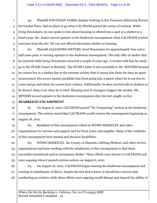59. Plaintiff JONATHAN JAMES, despite working in San Francisco delivering flowers for Garden Party, had no place to go when CALTRANS posted the notice of eviction. While living Downstairs, no one spoke to him about housing or offered him a spot at a shelter or a hotel room. Mr. James moved upstairs to the Seabreeze encampment when CALTRANS evicted everyone from the site. He was not offered alternative shelter or housing.

60. Plaintiff ALEJANDRO MEYERS, lived Downstairs for approximately four and a half years prior to moving upstairs to the Seabreeze encampment. The only offer of shelter that he received while living Downstairs occurred a couple of years ago. A worker told him he could go to the STAIR Center in Berkeley. The STAIR Center is not accessible to Mr. MEYERS because he cannot live in a shelter due to the extreme anxiety that it causes him from the time he spent incarcerated. His severe anxiety prohibits him from going into a places where he is not free to come and go and where he cannot have visitors. Additionally, he does not feel safe in shelters so he doesn't sleep even when he is tired. Sleeping next to strangers triggers his anxiety. Mr. MEYERS moved upstairs to the Seabreeze encampment after his tent caught on fire.

# **SEABREEZE ENCAMPMENT**

61. On August 6, 2021, CALTRANS posted "No Trespassing" notices at the Seabreeze encampment. The notices stated that CALTRANS would remove the encampment beginning on August 18, 2021.

62. Residents of this encampment relied on WDWG BERKELEY and other organizations for services and support and for food, tents, and supplies. Many of the residents of this encampment have mental and physical disabilities.

63. WDWG BERKELEY, the County of Alameda, Lifelong Medical, and other service organizations had been working with the inhabitants of this encampment to find them accessible transitional and/or permanent shelter. These efforts were known to CALTRANS and were ongoing when it posted eviction notices on August 6, 2021.

64. On August 18, 2021, CALTRANS began clearing the Seabreeze encampment and evicting its inhabitants. It did so, despite the fact that it knew or should have known that conducting an eviction while these efforts were ongoing would disrupt and imperil the ability of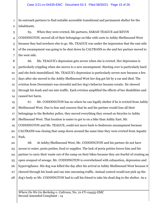its outreach partners to find suitable accessible transitional and permanent shelter for the inhabitants.

65. When they were evicted, life partners, SARAH TEAGUE and KEVIN CODDINGTON, moved all of their belongings on bike with carts to Ashby Shellmound West because they had nowhere else to go. Ms. TEAGUE was under the impression that the east side of the encampment was going to be shut down by CALTRANS so she and her partner moved to the west side.

66. Ms. TEAGUE's depression gets severe when she is evicted. Her depression is particularly crippling when she moves to a new encampment. Starting over is particularly hard and she feels immobilized. Ms. TEAGUE's depression is particularly severe now because a few days after she moved to the Ashby Shellmound West her dog got hit by a car and died. The eviction from Downstairs was stressful and her dog's behavior became erratic. He chewed through his leash and ran into traffic. Each eviction amplified the effects of her disabilities and caused her harm.

67. Mr. CODDINGTON has no where he can legally shelter if he is evicted from Ashby Shellmound West. Due to fear and concern that he and his partner would lose all their belongings to the Berkeley police, they moved everything they owned on bicycles to Ashby Shellmound West. That location is easier to get to on a bike than Ashby East. Mr. CODDINGTON and Ms. TEAGUE, could not move back to Seabreeze encampment because CALTRANS was closing that camp down around the same time they were evicted from Aquatic Park.

68. At Ashby/Shellmound West, Mr. CODDINGTON and his partner do not have access to water, porta potties, food or supplies. The lack of porta potties forces him and his partner to carry their waste out of the camp on their bikes because they are fearful of creating an open cesspool of sewage. Mr. CODDINGTON is overwhelmed with exhaustion, depression and hypervigilance. His dog was killed the day after his arrival at Ashby Shellmound West because it chewed through his leash and ran into oncoming traffic. Animal control would not pick up the dog's body so Mr. CODDINGTON had to call his friend to take his dead dog to the shelter. As a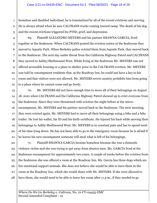homeless and disabled individual, he is traumatized by all of the recent evictions and moving. He is always afraid when he sees CALTRANS trucks coming toward camp. The death of his dog and the recent evictions triggered his PTSD, grief, and depression.

69. Plaintiff ALEJANDRO MEYERS and his partner SHAWNA GARCIA, lived together at the Seabreeze. When CALTRANS posted the eviction notice at the Seabreeze they moved to Aquatic Park. When Berkeley police evicted them from Aquatic Park, they moved back to the Seabreeze. The next day under threat from the California Highway Patrol and CALTRANS they moved to Ashby/Shellmound West. While living at the Seabreeze Mr. MEYERS was not offered accessible housing or a place to shelter prior to the CALTRANS eviction. Mr. MEYERS was told by encampment residents that, at the Roadway Inn, he could not have a key to his room and that visitors were not allowed. Mr. MEYERS severe anxiety prohibits him from going to a place where he cannot come and go freely.

70. Mr. MEYERS did not have enough time to move all of their belongings on August 18, 2021 when CALTRANS and the California Highway Patrol showed up to evict everyone from the Seabreeze. Since they were threatened with eviction the night before at the microencampment, Mr. MEYERS and his partner moved back to the Seabreeze. The next morning, they were evicted again. Mr. MEYERS had to move all their belongings using a bike and a bike trailer. He lost his wallet, his ID and his birth certificate. He injured his back while moving their belongings to Ashby Shellmound West. Mr. MEYERS is in constant pain and has to spend most of his time lying down. He has not been able to go to the emergency room because he is afraid if he leaves his new encampment someone will steal what is left of his belongings.

71. Plaintiff SHAWNA GARCIA became homeless because she was a domestic violence victim and she was trying to get away from abusive men. Ms. GARCIA lived at the Seabreeze encampment for approximately two years. A couple of weeks before the eviction from the Seabreeze she was offered a room at the Roadway Inn. Ms. Garcia has three dogs which are her emotional support animals. She does not believe she would be able to have them in the room at the Roadway Inn, which she would share with Mr. MEYERS. If she were allowed to have them, she would need to be able to leave her room after 11 p.m., if they needed to go

*Where Do We Go Berkeley v. Caltrans*, No. 21-CV-04435-EMC Second Amended Complaint - 15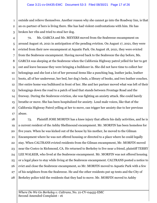outside and relieve themselves. Another reason why she cannot go into the Roadway Inn, is that an ex-partner of hers is living there. She has had violent confrontations with him. He has broken her ribs and tried to steal her dog.

72. Ms. GARCIA and Mr. MEYERS moved from the Seabreeze encampment on around August 16, 2021 in anticipation of the pending eviction. On August 17, 2021, they were evicted from their new encampment at Aquatic Park. On August 18, 2021, they were evicted from the Seabreeze encampment. Having moved back to the Seabreeze the day before, Ms. GARCIA was sleeping at the Seabreeze when the California Highway patrol yelled for her to get out and leave because they were bringing a bulldozer in. She did not have time to collect her belongings and she lost a lot of her personal items like a punching bag, leather jacks, leather boots, all of her underwear, her bed, her dog's beds, a library of books, and two leather couches. Her entire home was bulldozed in front of her. She and her partner moved what was left of their belongings down the road to a patch of land that stands between Frontage Road and the freeway. During the Seabreeze eviction, she was fighting an anxiety attack. She could barely breathe or move. She has been hospitalized for anxiety. Loud male voices, like that of the California Highway Patrol yelling at her to move, can trigger her anxiety due to her previous abuse.

73. Plaintiff JOSE MORFIN has a knee injury that affects his daily activities, and he is a current resident of the Ashby Shellmound encampment. Mr. MORFIN has been homeless for five years. When he was kicked out of the house by his mother, he moved to the Gilman Encampment where he was not offered housing or directed to a place where he could legally stay. When CALTRANS evicted residents from the Gilman encampment, Mr. MORFIN moved near the Costco in Richmond, CA. He returned to Berkeley to live near a friend, plaintiff TERRY LEE WALKER, who lived at the Seabreeze encampment. Mr. MORFIN was not offered housing or a legal place to stay while living at the Seabreeze encampment. CALTRANS posted a notice to evict and close the Seabreeze encampment, so Mr. MORFIN moved to Aquatic Park with a few of his neighbors from the Seabreeze. He and the other residents put up tents and the City of Berkeley police told the residents that they had to move. Mr. MORFIN moved to Ashby

*Where Do We Go Berkeley v. Caltrans*, No. 21-CV-04435-EMC Second Amended Complaint - 16

1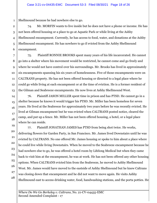Shellmound because he had nowhere else to go.

74. Mr. MORFIN wants to live inside but he does not have a phone or income. He has not been offered housing or a place to go at Aquatic Park or while living at the Ashby Shellmound encampment. Currently, he has access to food, water, and donations at the Ashby Shellmound encampment. He has nowhere to go if evicted from the Ashby Shellmound encampment.

75. Plaintiff RONNIE BROOKS spent many years of his life incarcerated. He cannot go into a shelter where his movement would be restricted, he cannot come and go freely and where he would not have control over his surroundings. Mr. Brooks has lived in approximately six encampments spanning his six years of homelessness. Five of those encampments were on CALTRANS property. He has not been offered housing or directed to a legal place where he could go while living at each encampment or at the time of eviction. He is a former resident of the Gilman and Seabreeze encampments. He now lives at Ashby Shellmound West.

76. Plaintiff JASON MILLER spent time in prison and has PTSD. He cannot go in a shelter because he knows it would trigger his PTSD. Mr. Miller has been homeless for seven years. He lived at the Seabreeze for approximately two years before he was recently evicted. He lived at Gilman encampment but he was evicted when CALTRANS posted notice, cleared the camp, and put up a fence. Mr. Miller has not been offered housing, a hotel, or a legal place where he can reside.

77. Plaintiff JONATHAN JAMES has PTSD from being shot twice. He works, delivering flowers for Garden Party, in San Francisco. Mr. James lived Downstairs until he was evicted by CALTRANS. No one offered Mr. James housing or spoke to him about a place where he could live while living Downstairs. When he moved to the Seabreeze encampment because he had nowhere else to go, he was offered a hotel room by Lifelong Medical but when they came back to visit him at the encampment, he was at work. He has not been offered any other housing options. When CALTRANS evicted him from the Seabreeze, he moved to Ashby Shellmound West. Mr. James would have moved to the eastside of Ashby Shellmound but he knew Caltrans was closing down that encampment and he did not want to move again. He visits Ashby Shellmound east to access drinking water, food, handwashing stations, and the porta potties. He

*Where Do We Go Berkeley v. Caltrans*, No. 21-CV-04435-EMC Second Amended Complaint - 17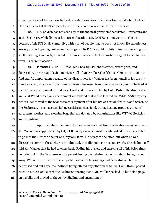currently does not have access to food or water donations or services like he did when he lived Downstairs and at the Seabreeze because his current location is difficult to access.

78. Mr. JAMES has not seen any of the medical providers that visited Downstairs and at the Seabreeze while living at his current location. Mr. JAMES cannot go into a shelter because of his PTSD. He cannot live with a lot of people that he does not know. He experiences anxiety and is hypervigilant around strangers. His PTSD would prohibit him from relaxing in a shelter setting. Currently, he is cut off from services and he has nowhere to go if forced to move from his current location.

79. Plaintiff TERRY LEE WALKER has adjustment disorder, severe grief, and depression. The threat of eviction triggers all of Mr. Walker's health disorders. He is unable to find gainful employment because of his disabilities. Mr. Walker has been homeless for twentynine years, moving away from home at sixteen because his mother was an alcoholic. He lived at the Gilman encampment until it was closed and he was evicted by CALTRANS. He also lived in an RV at Wood Street, an encampment in Oakland that is also located on CALTRANS property. Mr. Walker moved to the Seabreeze encampment after his RV was set on fire at Wood Street. At the Seabreeze, he can access vital necessities such as food, water, hygiene products, medical care, tents, clothes, and sleeping bags that are donated by organizations like WDWG Berkeley and volunteers.

80. Approximately one month before he was evicted from the Seabreeze encampment, Mr. Walker was approached by City of Berkeley outreach workers who asked him if he wanted to go into the Horizon shelter on Grayson Street. He accepted the offer, but when he was directed to come to the shelter to be admitted, they did not have his paperwork. The shelter staff told Mr. Walker that he had to come back. Riding his bicycle and carrying all of his belongings, he rode back to the Seabreeze encampment feeling overwhelming despair about being turned away. When he returned to his campsite most of his belongings had been stolen. He was depressed and felt hopeless. Without being offered any other place to live, CALTRANS posted eviction notices and closed the Seabreeze encampment. Mr. Walker packed up his belongings on his bike and moved to the Ashby Shellmound encampment.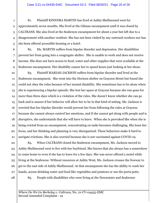81. Plaintiff KINNDRA MARTIN has lived at Ashby Shellmound west for approximately seven months. She lived at the Gilman encampment until it was closed by CALTRANS. She also lived at the Seabreeze encampment for about a year but left due to a disagreement with another resident. She has not been visited by any outreach workers nor has she been offered accessible housing or a hotel.

82. Ms. MARTIN suffers from bipolar disorder and depression. Her disabilities prevent her from going into a congregate shelter. She is unable to work and does not receive income. She does not have access to food, water and other supplies that were available at the Seabreeze encampment. Her disability causes her to spend hours just looking at her shoes.

83. Plaintiff MARIAH JACKSON suffers from bipolar disorder and lived at the Seabreeze encampment. She went into the Horizon shelter on Grayson Street but found she could not obey the rules because of her mental disability. She sometimes has to be alone when she is experiencing a bipolar episode. She lost her space at Grayson because she was gone for more than three days which is a violation of the rules. She doesn't know whether she can go back and is unsure if her behavior will allow her to be in that kind of setting. Ms. Jackson is worried that her bipolar disorder would prevent her from following the rules at Grayson because she cannot always control her emotions, and if she cannot get along with people and is disruptive, she understands that she will have to leave. When she is provoked like when she is being evicted from an encampment, concentrating on tasks becomes challenging. She loses her focus, and her thinking and planning is very disorganized. These behaviors make it hard to navigate evictions. She is also worried because she is not vaccinated against COVID-19.

84. When CALTRANS closed the Seabreeze encampment, Ms. Jackson moved to Ashby Shellmound west to live with her boyfriend. She knows that she always has a somewhere to come home to even if she has to leave for a few days. She was never offered a motel while living at the Seabreeze. Without resources at Ashby West, Ms. Jackson crosses the freeway to get to the east side of Ashby Shellmound. At that encampment she has the ability to wash her hands, access drinking water and food like vegetables and potatoes or use the porta potty.

85. People with disabilities who were living at the Downstairs and Seabreeze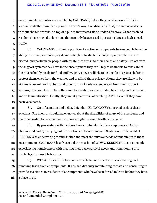1 encampments, and who were evicted by CALTRANS, before they could access affordable accessible shelter, have been placed in harm's way. One disabled elderly woman now sleeps, without shelter or walls, on top of a pile of mattresses alone under a freeway. Other disabled residents have moved to locations that can only be accessed by crossing lanes of high-speed traffic.

86. CALTRANS' continuing practice of evicting encampments before people have the ability to secure, accessible, legal, and safe place to shelter is likely to put people who are evicted, and particularly people with disabilities at risk to their health and safety. Cut off from the support systems they have in the encampment they are likely to be unable to take care of their basic bodily needs for food and hygiene. They are likely to be unable to erect a shelter to protect themselves from the weather and to afford them privacy. Alone, they are likely to be victims of assault and robbery and other forms of violence. Separated from their support systems, they are likely to have their mental disabilities exacerbated by anxiety and depression and re-traumatization. Finally, they are at greater risk of catching COVID, even if they have been vaccinated.

87. On information and belief, defendant EL-TAWANSY approved each of these evictions. She knew or should have known about the disabilities of many of the residents and the time needed to provide them with meaningful, accessible offers of shelter.

88. By proceeding with its plans to evict inhabitants of encampments at Ashby Shellmound and by carrying out the evictions of Downstairs and Seabreeze, while WDWG BERKELEY is endeavoring to find shelter and meet the survival needs of inhabitants of those encampments, CALTRANS has frustrated the mission of WDWG BERKELEY to assist people experiencing homelessness with meeting their basic survival needs and transitioning into stable, legal, accessible housing.

89. WDWG BERKELEY has not been able to continue its work of cleaning and removing trash from encampments. It has had difficulty maintaining contact and continuing to provide assistance to residents of encampments who have been forced to leave before they have a place to go.

*Where Do We Go Berkeley v. Caltrans*, No. 21-CV-04435-EMC Second Amended Complaint - 20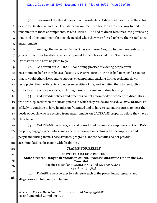90. Because of the threat of eviction of residents at Ashby Shellmound and the actual eviction at Seabreeze and the Downstairs encampment while efforts are underway to find the inhabitants of those encampments, WDWG BERKELEY had to divert resources into purchasing tents and other equipment that people needed when they were forced to leave their established encampments.

91. Among other expenses, WDWG has spent over \$10,000 to purchase tents and a generator in order to establish an encampment for people evicted from Seabreeze and Downstairs, who have no place to go.

92. As a result of CALTRANS' continuing practice of evicting people from encampments before they have a place to go, WDWG BERKELEY has had to expend resources that it would otherwise spend to support encampments, tracking former residents down, resupplying them with tents and other necessities of life, and assisting them to reestablish contacts with service providers, including those who assist in finding housing.

93. CALTRANS policies and practices do not accommodate people with disabilities who are displaced when the encampments in which they reside are closed. WDWG BERKELEY is likely to continue to have its mission frustrated and to have to expend resources to meet the needs of people who are evicted from encampments on CALTRANS property, before they have a place to go.

94. CALTRANS has a program and plans for addressing encampments on CALTRANS property, engages in activities, and expends resources in dealing with encampments and the people inhabiting them. Those services, programs, and/or activities do not provide accommodations for people with disabilities.

## **CLAIMS FOR RELIEF**

# **FIRST CLAIM FOR RELIEF**

**State-Created Danger in Violation of Due Process Guarantee Under the U.S. Constitution** (against defendants OMISHAKIN and EL-TAWANSY)

(42 U.S.C. § 1983)

95. Plaintiff reincorporates by reference each of the preceding paragraphs and allegations as if fully set forth herein.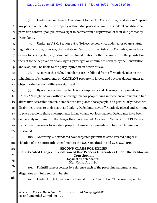96. Under the Fourteenth Amendment to the U.S. Constitution, no state can "deprive any person of life, liberty or property without due process of law." This federal constitutional provision confers upon plaintiffs a right to be free from a deprivation of their due process by Defendants.

97. Under 42 U.S.C. Section 1983, "[e]very person who, under color of any statute, regulation custom, or usage, of any State or Territory or the District of Columbia, subjects or causes to be subjected, any citizen of the United States or other person within the jurisdiction thereof to the deprivation of any rights, privileges or immunities secured by the Constitution and laws, shall be liable to the party injured in an action at law…"

98. As part of this right, defendants are prohibited from affirmatively placing the inhabitants of encampments on CALTRANS property in known and obvious danger under an objective deliberate indifference standard.

99. By noticing operations to clear encampments and clearing encampments on CALTRANS right-of-way without allowing time for people living in those encampments to find alternative accessible shelter, defendants have placed those people, and particularly those with disabilities at risk to their health and safety. Defendants have affirmatively placed and continue to place people in those encampments in known and obvious danger. Defendants have been deliberately indifferent to the danger they have created. As a result, WDWG BERKELEY has had a divert resources to assisting people in those encampments and has had its mission frustrated.

100. Accordingly, defendants have subjected plaintiff to state-created danger in violation of the Fourteenth Amendment to the U.S. Constitution and 42 U.S.C. §1983.

# **SECOND CLAIM FOR RELIEF**

**State-Created Danger in Violation of Due Process Guarantees Under the California Constitution**

(against all defendants) (Cal. Const. Art. I, §7)

101. Plaintiff reincorporates by reference each of the preceding paragraphs and allegations as if fully set forth herein.

102. Under Article I, Section 7 of the California Constitution "A person may not be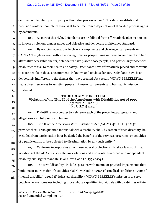deprived of life, liberty or property without due process of law." This state constitutional provision confers upon plaintiffs a right to be free from a deprivation of their due process rights by defendants.

103. As part of this right, defendants are prohibited from affirmatively placing persons in known or obvious danger under and objective and deliberate indifference standard.

104. By noticing operations to clear encampments and clearing encampments on CALTRANS right-of-way without allowing time for people living in those encampments to find alternative accessible shelter, defendants have placed those people, and particularly those with disabilities at risk to their health and safety. Defendants have affirmatively placed and continue to place people in those encampments in known and obvious danger. Defendants have been deliberately indifferent to the danger they have created. As a result, WDWG BERKELEY has had a divert resources to assisting people in those encampments and has had its mission frustrated.

#### **THIRD CLAIM FOR RELIEF Violation of the Title II of the Americans with Disabilities Act of 1990** (against CALTRANS) (42 U.S.C. § 12132)

105. Plaintiff reincorporates by reference each of the preceding paragraphs and allegations as if fully set forth herein.

106. Title II of the Americans With Disabilities Act ("ADA"), 42 U.S.C. § 12132, provides that: "[N]o qualified individual with a disability shall, by reason of such disability, be excluded from participation in or be denied the benefits of the services, programs, or activities of a public entity, or be subjected to discrimination by any such entity."

107. California incorporates all of these federal protections into state law, such that violations of the ADA are also state law violations and also contains a broad and independent disability civil rights mandate. (Cal. Gov't Code § 11135 et seq.)

108. The term "disability" includes persons with mental or physical impairments that limit one or more major life activities. Cal. Gov't Code § 12926 (i) (medical condition), 12926 (j) (mental disability), 12926 (l) (physical disability). WDWG BERKELEY's mission is to serve people who are homeless including those who are qualified individuals with disabilities within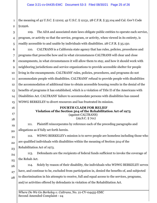1 the meaning of 42 U.S.C. § 12102; 42 U.S.C. § 12131, 28 C.F.R. § 35.104 and Cal. Gov't Code §12926.

109. The ADA and associated state laws obligate public entities to operate each service, program, or activity so that the service, program, or activity, when viewed in its entirety, is readily accessible to and usable by individuals with disabilities. 28 C.F.R. § 35.150.

110. CALTRANS is a California state agency that has rules, policies, procedures and programs that prescribe how and in what circumstances CALTRANS will clear and close encampments, in what circumstances it will allow them to stay, and how it should work with neighboring jurisdictions and service organizations to provide accessible shelter for people living in the encampments. CALTRANS' rules, policies, procedures, and programs do not accommodate people with disabilities. CALTRANS' refusal to provide people with disabilities the accommodation of additional time to obtain accessible housing results in the denial of the benefits of programs it has established, which is a violation of Title II of the Americans with Disabilities Act. CALTRANS' failure to accommodate persons with disabilities has caused WDWG BERKELEY to divert resources and has frustrated its mission.

#### **FOURTH CLAIM FOR RELIEF Violation of the Section 504 of the Rehabilitation Act of 1973** (against CALTRANS)

(29.S.C. § 701)

111. Plaintiff reincorporates by reference each of the preceding paragraphs and allegations as if fully set forth herein.

112. WDWG BERKELEY's mission is to serve people are homeless including those who are qualified individuals with disabilities within the meaning of Section 504 of the Rehabilitation Act of 1973.

113. Defendants are the recipients of federal funds sufficient to invoke the coverage of the Rehab Act.

114. Solely by reason of their disability, the individuals who WDWG BERKELEY serves have, and continue to be, excluded from participation in, denied the benefits of, and subjected to discrimination in his attempts to receive, full and equal access to the services, programs, and/or activities offered by defendants in violation of the Rehabilitation Act.

*Where Do We Go Berkeley v. Caltrans*, No. 21-CV-04435-EMC Second Amended Complaint - 24